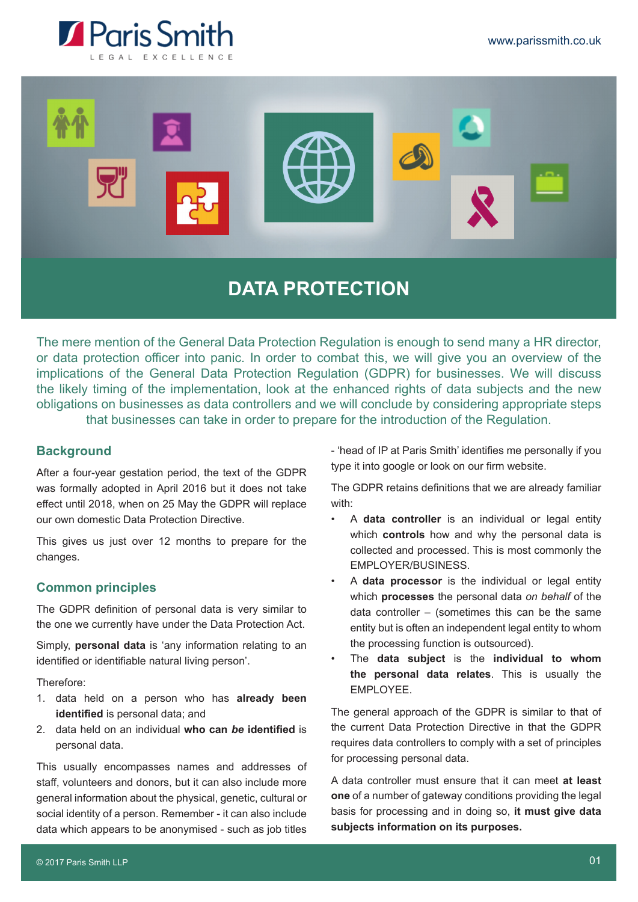



# **DATA PROTECTION**

The mere mention of the General Data Protection Regulation is enough to send many a HR director, or data protection officer into panic. In order to combat this, we will give you an overview of the implications of the General Data Protection Regulation (GDPR) for businesses. We will discuss the likely timing of the implementation, look at the enhanced rights of data subjects and the new obligations on businesses as data controllers and we will conclude by considering appropriate steps that businesses can take in order to prepare for the introduction of the Regulation.

# **Background**

After a four-year gestation period, the text of the GDPR was formally adopted in April 2016 but it does not take effect until 2018, when on 25 May the GDPR will replace our own domestic Data Protection Directive.

This gives us just over 12 months to prepare for the changes.

## **Common principles**

The GDPR definition of personal data is very similar to the one we currently have under the Data Protection Act.

Simply, **personal data** is 'any information relating to an identified or identifiable natural living person'.

Therefore:

- 1. data held on a person who has **already been identified** is personal data; and
- 2. data held on an individual **who can** *be* **identified** is personal data.

This usually encompasses names and addresses of staff, volunteers and donors, but it can also include more general information about the physical, genetic, cultural or social identity of a person. Remember - it can also include data which appears to be anonymised - such as job titles - 'head of IP at Paris Smith' identifies me personally if you type it into google or look on our firm website.

The GDPR retains definitions that we are already familiar with:

- A **data controller** is an individual or legal entity which **controls** how and why the personal data is collected and processed. This is most commonly the EMPLOYER/BUSINESS.
- A **data processor** is the individual or legal entity which **processes** the personal data *on behalf* of the data controller – (sometimes this can be the same entity but is often an independent legal entity to whom the processing function is outsourced).
- The **data subject** is the **individual to whom the personal data relates**. This is usually the EMPLOYEE.

The general approach of the GDPR is similar to that of the current Data Protection Directive in that the GDPR requires data controllers to comply with a set of principles for processing personal data.

A data controller must ensure that it can meet **at least one** of a number of gateway conditions providing the legal basis for processing and in doing so, **it must give data subjects information on its purposes.**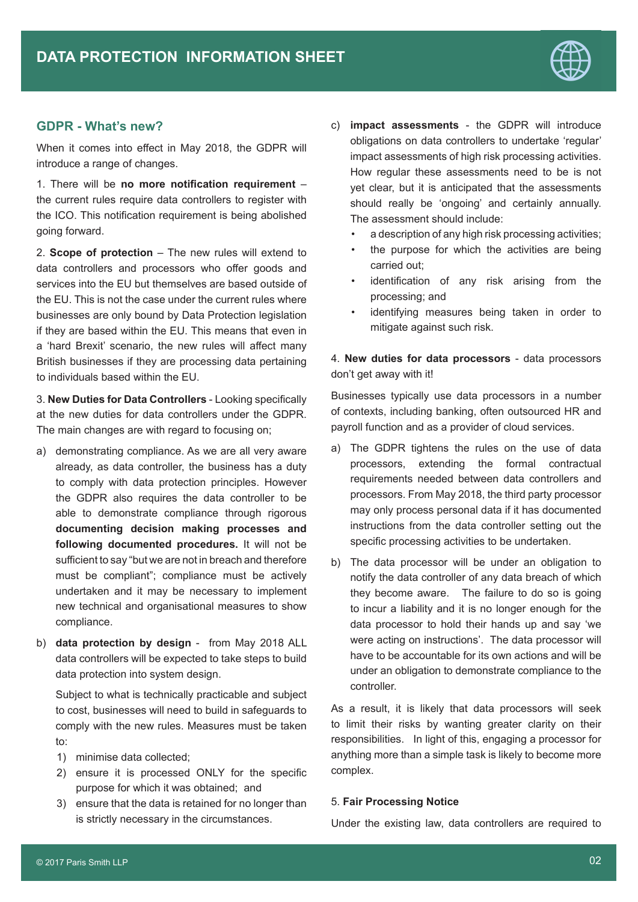

## **GDPR - What's new?**

When it comes into effect in May 2018, the GDPR will introduce a range of changes.

1. There will be **no more notification requirement** – the current rules require data controllers to register with the ICO. This notification requirement is being abolished going forward.

2. **Scope of protection** – The new rules will extend to data controllers and processors who offer goods and services into the EU but themselves are based outside of the EU. This is not the case under the current rules where businesses are only bound by Data Protection legislation if they are based within the EU. This means that even in a 'hard Brexit' scenario, the new rules will affect many British businesses if they are processing data pertaining to individuals based within the EU.

3. **New Duties for Data Controllers** - Looking specifically at the new duties for data controllers under the GDPR. The main changes are with regard to focusing on:

- a) demonstrating compliance. As we are all very aware already, as data controller, the business has a duty to comply with data protection principles. However the GDPR also requires the data controller to be able to demonstrate compliance through rigorous **documenting decision making processes and following documented procedures.** It will not be sufficient to say "but we are not in breach and therefore must be compliant"; compliance must be actively undertaken and it may be necessary to implement new technical and organisational measures to show compliance.
- b) **data protection by design** from May 2018 ALL data controllers will be expected to take steps to build data protection into system design.

Subject to what is technically practicable and subject to cost, businesses will need to build in safeguards to comply with the new rules. Measures must be taken to:

- 1) minimise data collected;
- 2) ensure it is processed ONLY for the specific purpose for which it was obtained; and
- 3) ensure that the data is retained for no longer than is strictly necessary in the circumstances.
- c) **impact assessments** the GDPR will introduce obligations on data controllers to undertake 'regular' impact assessments of high risk processing activities. How regular these assessments need to be is not yet clear, but it is anticipated that the assessments should really be 'ongoing' and certainly annually. The assessment should include:
	- a description of any high risk processing activities;
	- the purpose for which the activities are being carried out;
	- identification of any risk arising from the processing; and
	- identifying measures being taken in order to mitigate against such risk.

4. **New duties for data processors** - data processors don't get away with it!

Businesses typically use data processors in a number of contexts, including banking, often outsourced HR and payroll function and as a provider of cloud services.

- a) The GDPR tightens the rules on the use of data processors, extending the formal contractual requirements needed between data controllers and processors. From May 2018, the third party processor may only process personal data if it has documented instructions from the data controller setting out the specific processing activities to be undertaken.
- b) The data processor will be under an obligation to notify the data controller of any data breach of which they become aware. The failure to do so is going to incur a liability and it is no longer enough for the data processor to hold their hands up and say 'we were acting on instructions'. The data processor will have to be accountable for its own actions and will be under an obligation to demonstrate compliance to the controller.

As a result, it is likely that data processors will seek to limit their risks by wanting greater clarity on their responsibilities. In light of this, engaging a processor for anything more than a simple task is likely to become more complex.

#### 5. **Fair Processing Notice**

Under the existing law, data controllers are required to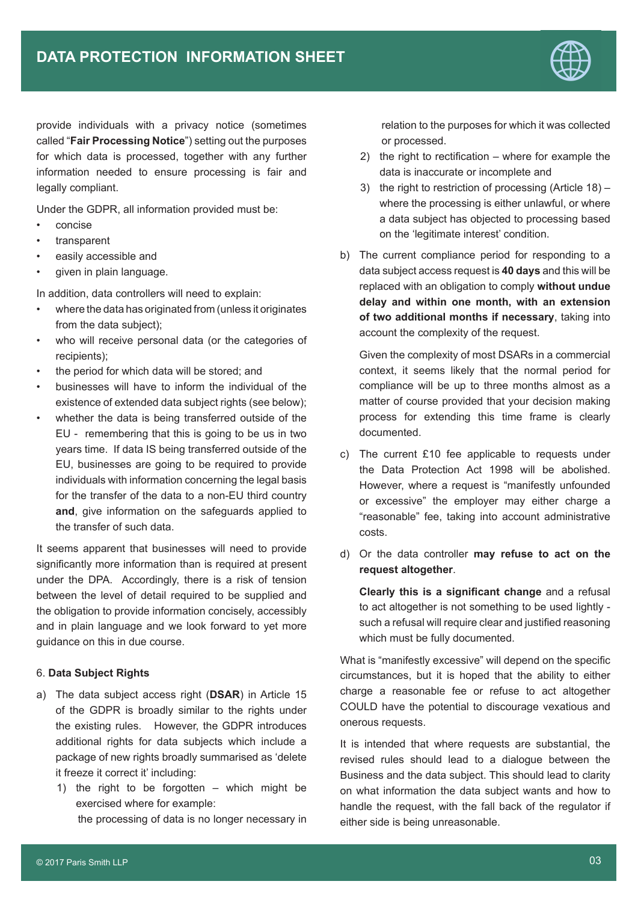

provide individuals with a privacy notice (sometimes called "**Fair Processing Notice**") setting out the purposes for which data is processed, together with any further information needed to ensure processing is fair and legally compliant.

Under the GDPR, all information provided must be:

- concise
- transparent
- easily accessible and
- given in plain language.

In addition, data controllers will need to explain:

- where the data has originated from (unless it originates from the data subject);
- who will receive personal data (or the categories of recipients);
- the period for which data will be stored; and
- businesses will have to inform the individual of the existence of extended data subject rights (see below);
- whether the data is being transferred outside of the EU - remembering that this is going to be us in two years time. If data IS being transferred outside of the EU, businesses are going to be required to provide individuals with information concerning the legal basis for the transfer of the data to a non-EU third country **and**, give information on the safeguards applied to the transfer of such data.

It seems apparent that businesses will need to provide significantly more information than is required at present under the DPA. Accordingly, there is a risk of tension between the level of detail required to be supplied and the obligation to provide information concisely, accessibly and in plain language and we look forward to yet more guidance on this in due course.

#### 6. **Data Subject Rights**

- a) The data subject access right (**DSAR**) in Article 15 of the GDPR is broadly similar to the rights under the existing rules. However, the GDPR introduces additional rights for data subjects which include a package of new rights broadly summarised as 'delete it freeze it correct it' including:
	- 1) the right to be forgotten which might be exercised where for example:

the processing of data is no longer necessary in

relation to the purposes for which it was collected or processed.

- 2) the right to rectification where for example the data is inaccurate or incomplete and
- 3) the right to restriction of processing (Article 18) where the processing is either unlawful, or where a data subject has objected to processing based on the 'legitimate interest' condition.
- b) The current compliance period for responding to a data subject access request is **40 days** and this will be replaced with an obligation to comply **without undue delay and within one month, with an extension of two additional months if necessary**, taking into account the complexity of the request.

Given the complexity of most DSARs in a commercial context, it seems likely that the normal period for compliance will be up to three months almost as a matter of course provided that your decision making process for extending this time frame is clearly documented.

- c) The current £10 fee applicable to requests under the Data Protection Act 1998 will be abolished. However, where a request is "manifestly unfounded or excessive" the employer may either charge a "reasonable" fee, taking into account administrative costs.
- d) Or the data controller **may refuse to act on the request altogether**.

**Clearly this is a significant change** and a refusal to act altogether is not something to be used lightly such a refusal will require clear and justified reasoning which must be fully documented.

What is "manifestly excessive" will depend on the specific circumstances, but it is hoped that the ability to either charge a reasonable fee or refuse to act altogether COULD have the potential to discourage vexatious and onerous requests.

It is intended that where requests are substantial, the revised rules should lead to a dialogue between the Business and the data subject. This should lead to clarity on what information the data subject wants and how to handle the request, with the fall back of the regulator if either side is being unreasonable.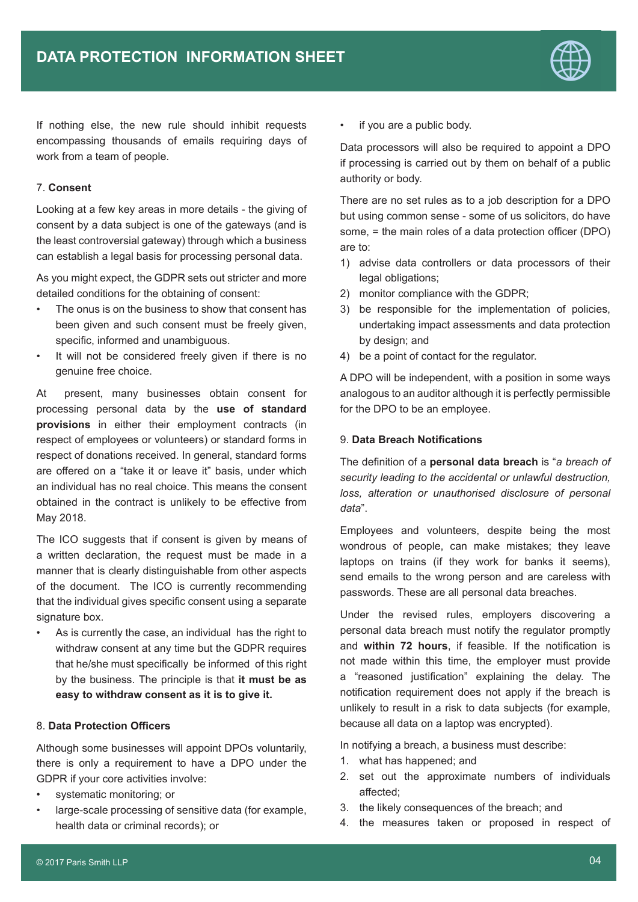

If nothing else, the new rule should inhibit requests encompassing thousands of emails requiring days of work from a team of people.

### 7. **Consent**

Looking at a few key areas in more details - the giving of consent by a data subject is one of the gateways (and is the least controversial gateway) through which a business can establish a legal basis for processing personal data.

As you might expect, the GDPR sets out stricter and more detailed conditions for the obtaining of consent:

- The onus is on the business to show that consent has been given and such consent must be freely given. specific, informed and unambiguous.
- It will not be considered freely given if there is no genuine free choice.

At present, many businesses obtain consent for processing personal data by the **use of standard provisions** in either their employment contracts (in respect of employees or volunteers) or standard forms in respect of donations received. In general, standard forms are offered on a "take it or leave it" basis, under which an individual has no real choice. This means the consent obtained in the contract is unlikely to be effective from May 2018.

The ICO suggests that if consent is given by means of a written declaration, the request must be made in a manner that is clearly distinguishable from other aspects of the document. The ICO is currently recommending that the individual gives specific consent using a separate signature box.

• As is currently the case, an individual has the right to withdraw consent at any time but the GDPR requires that he/she must specifically be informed of this right by the business. The principle is that **it must be as easy to withdraw consent as it is to give it.**

# 8. **Data Protection Officers**

Although some businesses will appoint DPOs voluntarily, there is only a requirement to have a DPO under the GDPR if your core activities involve:

- systematic monitoring; or
- large-scale processing of sensitive data (for example, health data or criminal records); or

if you are a public body.

Data processors will also be required to appoint a DPO if processing is carried out by them on behalf of a public authority or body.

There are no set rules as to a job description for a DPO but using common sense - some of us solicitors, do have some, = the main roles of a data protection officer (DPO) are to:

- 1) advise data controllers or data processors of their legal obligations;
- 2) monitor compliance with the GDPR;
- 3) be responsible for the implementation of policies, undertaking impact assessments and data protection by design; and
- 4) be a point of contact for the regulator.

A DPO will be independent, with a position in some ways analogous to an auditor although it is perfectly permissible for the DPO to be an employee.

#### 9. **Data Breach Notifications**

The definition of a **personal data breach** is "*a breach of security leading to the accidental or unlawful destruction, loss, alteration or unauthorised disclosure of personal data*".

Employees and volunteers, despite being the most wondrous of people, can make mistakes; they leave laptops on trains (if they work for banks it seems), send emails to the wrong person and are careless with passwords. These are all personal data breaches.

Under the revised rules, employers discovering a personal data breach must notify the regulator promptly and **within 72 hours**, if feasible. If the notification is not made within this time, the employer must provide a "reasoned justification" explaining the delay. The notification requirement does not apply if the breach is unlikely to result in a risk to data subjects (for example, because all data on a laptop was encrypted).

In notifying a breach, a business must describe:

- 1. what has happened; and
- 2. set out the approximate numbers of individuals affected;
- 3. the likely consequences of the breach; and
- 4. the measures taken or proposed in respect of